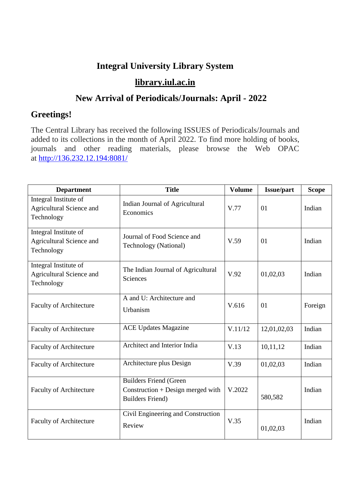## **Integral University Library System**

## **[library.iul.ac.in](http://library.iul.ac.in/)**

## **New Arrival of Periodicals/Journals: April - 2022**

## **Greetings!**

The Central Library has received the following ISSUES of Periodicals/Journals and added to its collections in the month of April 2022. To find more holding of books, journals and other reading materials, please browse the Web OPAC at <http://136.232.12.194:8081/>

| <b>Department</b>                                               | <b>Title</b>                                                                                    | <b>Volume</b> | <b>Issue/part</b> | <b>Scope</b> |
|-----------------------------------------------------------------|-------------------------------------------------------------------------------------------------|---------------|-------------------|--------------|
| Integral Institute of<br>Agricultural Science and<br>Technology | Indian Journal of Agricultural<br>Economics                                                     | V.77          | 01                | Indian       |
| Integral Institute of<br>Agricultural Science and<br>Technology | Journal of Food Science and<br><b>Technology</b> (National)                                     | V.59          | 01                | Indian       |
| Integral Institute of<br>Agricultural Science and<br>Technology | The Indian Journal of Agricultural<br>Sciences                                                  | V.92          | 01,02,03          | Indian       |
| <b>Faculty of Architecture</b>                                  | A and U: Architecture and<br>Urbanism                                                           | V.616         | 01                | Foreign      |
| <b>Faculty of Architecture</b>                                  | <b>ACE Updates Magazine</b>                                                                     | V.11/12       | 12,01,02,03       | Indian       |
| <b>Faculty of Architecture</b>                                  | Architect and Interior India                                                                    | V.13          | 10,11,12          | Indian       |
| <b>Faculty of Architecture</b>                                  | Architecture plus Design                                                                        | V.39          | 01,02,03          | Indian       |
| <b>Faculty of Architecture</b>                                  | <b>Builders Friend (Green</b><br>$Construction + Design merged with$<br><b>Builders Friend)</b> | V.2022        | 580,582           | Indian       |
| <b>Faculty of Architecture</b>                                  | Civil Engineering and Construction<br>Review                                                    | V.35          | 01,02,03          | Indian       |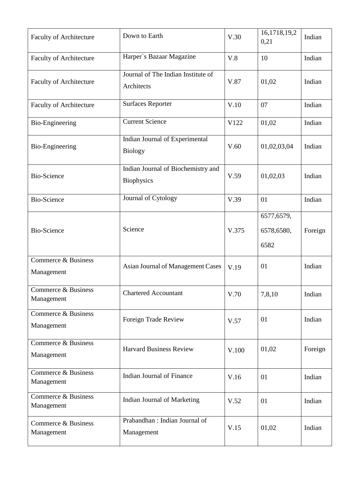| <b>Faculty of Architecture</b>    | Down to Earth                                           | V.30  | 16,1718,19,2<br>0,21             | Indian  |
|-----------------------------------|---------------------------------------------------------|-------|----------------------------------|---------|
| <b>Faculty of Architecture</b>    | Harper's Bazaar Magazine                                | V.8   | 10                               | Indian  |
| <b>Faculty of Architecture</b>    | Journal of The Indian Institute of<br>Architects        | V.87  | 01,02                            | Indian  |
| <b>Faculty of Architecture</b>    | <b>Surfaces Reporter</b>                                | V.10  | 07                               | Indian  |
| <b>Bio-Engineering</b>            | <b>Current Science</b>                                  | V122  | 01,02                            | Indian  |
| Bio-Engineering                   | Indian Journal of Experimental<br><b>Biology</b>        | V.60  | 01,02,03,04                      | Indian  |
| <b>Bio-Science</b>                | Indian Journal of Biochemistry and<br><b>Biophysics</b> | V.59  | 01,02,03                         | Indian  |
| <b>Bio-Science</b>                | Journal of Cytology                                     | V.39  | 01                               | Indian  |
| <b>Bio-Science</b>                | Science                                                 | V.375 | 6577,6579,<br>6578,6580,<br>6582 | Foreign |
| Commerce & Business<br>Management | <b>Asian Journal of Management Cases</b>                | V.19  | 01                               | Indian  |
| Commerce & Business<br>Management | <b>Chartered Accountant</b>                             | V.70  | 7,8,10                           | Indian  |
| Commerce & Business<br>Management | Foreign Trade Review                                    | V.57  | 01                               | Indian  |
| Commerce & Business<br>Management | <b>Harvard Business Review</b>                          | V.100 | 01,02                            | Foreign |
| Commerce & Business<br>Management | <b>Indian Journal of Finance</b>                        | V.16  | 01                               | Indian  |
| Commerce & Business<br>Management | Indian Journal of Marketing                             | V.52  | 01                               | Indian  |
| Commerce & Business<br>Management | Prabandhan: Indian Journal of<br>Management             | V.15  | 01,02                            | Indian  |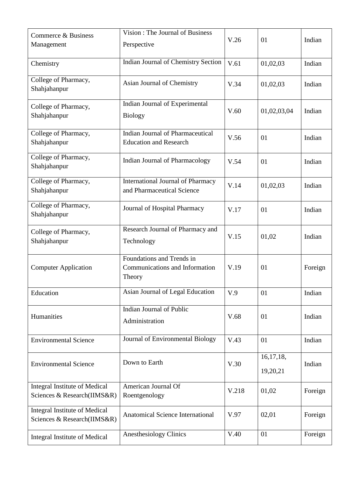| Commerce & Business<br>Management                                   | Vision: The Journal of Business<br>Perspective                         | V.26  | 01                      | Indian  |
|---------------------------------------------------------------------|------------------------------------------------------------------------|-------|-------------------------|---------|
| Chemistry                                                           | <b>Indian Journal of Chemistry Section</b>                             | V.61  | 01,02,03                | Indian  |
| College of Pharmacy,<br>Shahjahanpur                                | Asian Journal of Chemistry                                             | V.34  | 01,02,03                | Indian  |
| College of Pharmacy,<br>Shahjahanpur                                | Indian Journal of Experimental<br><b>Biology</b>                       | V.60  | 01,02,03,04             | Indian  |
| College of Pharmacy,<br>Shahjahanpur                                | Indian Journal of Pharmaceutical<br><b>Education and Research</b>      | V.56  | 01                      | Indian  |
| College of Pharmacy,<br>Shahjahanpur                                | Indian Journal of Pharmacology                                         | V.54  | 01                      | Indian  |
| College of Pharmacy,<br>Shahjahanpur                                | <b>International Journal of Pharmacy</b><br>and Pharmaceutical Science | V.14  | 01,02,03                | Indian  |
| College of Pharmacy,<br>Shahjahanpur                                | Journal of Hospital Pharmacy                                           | V.17  | 01                      | Indian  |
| College of Pharmacy,<br>Shahjahanpur                                | Research Journal of Pharmacy and<br>Technology                         | V.15  | 01,02                   | Indian  |
| <b>Computer Application</b>                                         | Foundations and Trends in<br>Communications and Information<br>Theory  | V.19  | 01                      | Foreign |
| Education                                                           | Asian Journal of Legal Education                                       | V.9   | 01                      | Indian  |
| Humanities                                                          | Indian Journal of Public<br>Administration                             | V.68  | 01                      | Indian  |
| <b>Environmental Science</b>                                        | Journal of Environmental Biology                                       | V.43  | 01                      | Indian  |
| <b>Environmental Science</b>                                        | Down to Earth                                                          | V.30  | 16, 17, 18,<br>19,20,21 | Indian  |
| <b>Integral Institute of Medical</b><br>Sciences & Research(IIMS&R) | American Journal Of<br>Roentgenology                                   | V.218 | 01,02                   | Foreign |
| <b>Integral Institute of Medical</b><br>Sciences & Research(IIMS&R) | <b>Anatomical Science International</b>                                | V.97  | 02,01                   | Foreign |
| <b>Integral Institute of Medical</b>                                | <b>Anesthesiology Clinics</b>                                          | V.40  | 01                      | Foreign |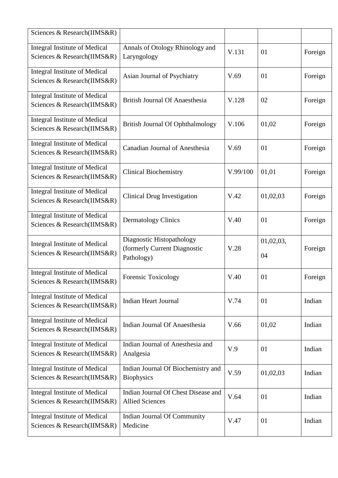| Sciences & Research(IIMS&R)                                         |                                                                         |          |                 |         |
|---------------------------------------------------------------------|-------------------------------------------------------------------------|----------|-----------------|---------|
| <b>Integral Institute of Medical</b><br>Sciences & Research(IIMS&R) | Annals of Otology Rhinology and<br>Laryngology                          | V.131    | 01              | Foreign |
| <b>Integral Institute of Medical</b><br>Sciences & Research(IIMS&R) | Asian Journal of Psychiatry                                             | V.69     | 01              | Foreign |
| <b>Integral Institute of Medical</b><br>Sciences & Research(IIMS&R) | <b>British Journal Of Anaesthesia</b>                                   | V.128    | 02              | Foreign |
| <b>Integral Institute of Medical</b><br>Sciences & Research(IIMS&R) | <b>British Journal Of Ophthalmology</b>                                 | V.106    | 01,02           | Foreign |
| <b>Integral Institute of Medical</b><br>Sciences & Research(IIMS&R) | <b>Canadian Journal of Anesthesia</b>                                   | V.69     | 01              | Foreign |
| <b>Integral Institute of Medical</b><br>Sciences & Research(IIMS&R) | <b>Clinical Biochemistry</b>                                            | V.99/100 | 01,01           | Foreign |
| <b>Integral Institute of Medical</b><br>Sciences & Research(IIMS&R) | <b>Clinical Drug Investigation</b>                                      | V.42     | 01,02,03        | Foreign |
| <b>Integral Institute of Medical</b><br>Sciences & Research(IIMS&R) | <b>Dermatology Clinics</b>                                              | V.40     | 01              | Foreign |
| Integral Institute of Medical<br>Sciences & Research(IIMS&R)        | Diagnostic Histopathology<br>(formerly Current Diagnostic<br>Pathology) | V.28     | 01,02,03,<br>04 | Foreign |
| <b>Integral Institute of Medical</b><br>Sciences & Research(IIMS&R) | Forensic Toxicology                                                     | V.40     | 01              | Foreign |
| <b>Integral Institute of Medical</b><br>Sciences & Research(IIMS&R) | <b>Indian Heart Journal</b>                                             | V.74     | 01              | Indian  |
| <b>Integral Institute of Medical</b><br>Sciences & Research(IIMS&R) | <b>Indian Journal Of Anaesthesia</b>                                    | V.66     | 01,02           | Indian  |
| <b>Integral Institute of Medical</b><br>Sciences & Research(IIMS&R) | Indian Journal of Anesthesia and<br>Analgesia                           | V.9      | 01              | Indian  |
| <b>Integral Institute of Medical</b><br>Sciences & Research(IIMS&R) | Indian Journal Of Biochemistry and<br><b>Biophysics</b>                 | V.59     | 01,02,03        | Indian  |
| <b>Integral Institute of Medical</b><br>Sciences & Research(IIMS&R) | Indian Journal Of Chest Disease and<br><b>Allied Sciences</b>           | V.64     | 01              | Indian  |
| <b>Integral Institute of Medical</b><br>Sciences & Research(IIMS&R) | Indian Journal Of Community<br>Medicine                                 | V.47     | 01              | Indian  |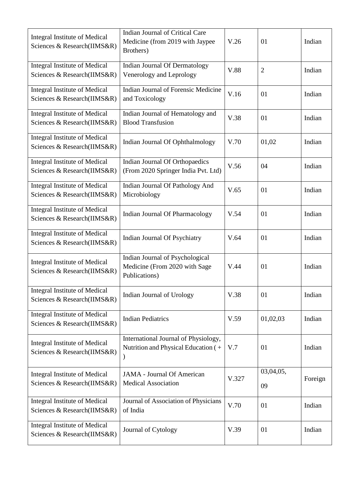| Integral Institute of Medical<br>Sciences & Research(IIMS&R)        | <b>Indian Journal of Critical Care</b><br>Medicine (from 2019 with Jaypee<br>Brothers) | V.26  | 01              | Indian  |
|---------------------------------------------------------------------|----------------------------------------------------------------------------------------|-------|-----------------|---------|
| <b>Integral Institute of Medical</b><br>Sciences & Research(IIMS&R) | <b>Indian Journal Of Dermatology</b><br>Venerology and Leprology                       | V.88  | $\overline{2}$  | Indian  |
| <b>Integral Institute of Medical</b><br>Sciences & Research(IIMS&R) | <b>Indian Journal of Forensic Medicine</b><br>and Toxicology                           | V.16  | 01              | Indian  |
| <b>Integral Institute of Medical</b><br>Sciences & Research(IIMS&R) | Indian Journal of Hematology and<br><b>Blood Transfusion</b>                           | V.38  | 01              | Indian  |
| Integral Institute of Medical<br>Sciences & Research(IIMS&R)        | Indian Journal Of Ophthalmology                                                        | V.70  | 01,02           | Indian  |
| <b>Integral Institute of Medical</b><br>Sciences & Research(IIMS&R) | Indian Journal Of Orthopaedics<br>(From 2020 Springer India Pvt. Ltd)                  | V.56  | 04              | Indian  |
| <b>Integral Institute of Medical</b><br>Sciences & Research(IIMS&R) | Indian Journal Of Pathology And<br>Microbiology                                        | V.65  | 01              | Indian  |
| <b>Integral Institute of Medical</b><br>Sciences & Research(IIMS&R) | <b>Indian Journal Of Pharmacology</b>                                                  | V.54  | 01              | Indian  |
| <b>Integral Institute of Medical</b><br>Sciences & Research(IIMS&R) | Indian Journal Of Psychiatry                                                           | V.64  | 01              | Indian  |
| Integral Institute of Medical<br>Sciences & Research(IIMS&R)        | Indian Journal of Psychological<br>Medicine (From 2020 with Sage<br>Publications)      | V.44  | 01              | Indian  |
| <b>Integral Institute of Medical</b><br>Sciences & Research(IIMS&R) | Indian Journal of Urology                                                              | V.38  | 01              | Indian  |
| <b>Integral Institute of Medical</b><br>Sciences & Research(IIMS&R) | <b>Indian Pediatrics</b>                                                               | V.59  | 01,02,03        | Indian  |
| <b>Integral Institute of Medical</b><br>Sciences & Research(IIMS&R) | International Journal of Physiology,<br>Nutrition and Physical Education (+            | V.7   | 01              | Indian  |
| <b>Integral Institute of Medical</b><br>Sciences & Research(IIMS&R) | <b>JAMA</b> - Journal Of American<br><b>Medical Association</b>                        | V.327 | 03,04,05,<br>09 | Foreign |
| <b>Integral Institute of Medical</b><br>Sciences & Research(IIMS&R) | Journal of Association of Physicians<br>of India                                       | V.70  | 01              | Indian  |
| Integral Institute of Medical<br>Sciences & Research(IIMS&R)        | Journal of Cytology                                                                    | V.39  | 01              | Indian  |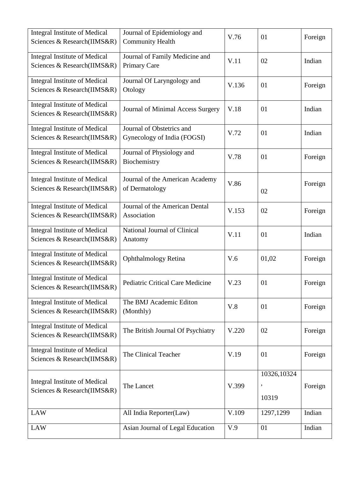| <b>Integral Institute of Medical</b><br>Sciences & Research(IIMS&R) | Journal of Epidemiology and<br><b>Community Health</b>   | V.76  | 01                        | Foreign |
|---------------------------------------------------------------------|----------------------------------------------------------|-------|---------------------------|---------|
| <b>Integral Institute of Medical</b><br>Sciences & Research(IIMS&R) | Journal of Family Medicine and<br>Primary Care           | V.11  | 02                        | Indian  |
| <b>Integral Institute of Medical</b><br>Sciences & Research(IIMS&R) | Journal Of Laryngology and<br>Otology                    | V.136 | 01                        | Foreign |
| <b>Integral Institute of Medical</b><br>Sciences & Research(IIMS&R) | Journal of Minimal Access Surgery                        | V.18  | 01                        | Indian  |
| <b>Integral Institute of Medical</b><br>Sciences & Research(IIMS&R) | Journal of Obstetrics and<br>Gynecology of India (FOGSI) | V.72  | 01                        | Indian  |
| <b>Integral Institute of Medical</b><br>Sciences & Research(IIMS&R) | Journal of Physiology and<br>Biochemistry                | V.78  | 01                        | Foreign |
| <b>Integral Institute of Medical</b><br>Sciences & Research(IIMS&R) | Journal of the American Academy<br>of Dermatology        | V.86  | 02                        | Foreign |
| <b>Integral Institute of Medical</b><br>Sciences & Research(IIMS&R) | Journal of the American Dental<br>Association            | V.153 | 02                        | Foreign |
| <b>Integral Institute of Medical</b><br>Sciences & Research(IIMS&R) | National Journal of Clinical<br>Anatomy                  | V.11  | 01                        | Indian  |
| <b>Integral Institute of Medical</b><br>Sciences & Research(IIMS&R) | <b>Ophthalmology Retina</b>                              | V.6   | 01,02                     | Foreign |
| <b>Integral Institute of Medical</b><br>Sciences & Research(IIMS&R) | Pediatric Critical Care Medicine                         | V.23  | 01                        | Foreign |
| <b>Integral Institute of Medical</b><br>Sciences & Research(IIMS&R) | The BMJ Academic Editon<br>(Monthly)                     | V.8   | 01                        | Foreign |
| <b>Integral Institute of Medical</b><br>Sciences & Research(IIMS&R) | The British Journal Of Psychiatry                        | V.220 | 02                        | Foreign |
| <b>Integral Institute of Medical</b><br>Sciences & Research(IIMS&R) | The Clinical Teacher                                     | V.19  | 01                        | Foreign |
| Integral Institute of Medical<br>Sciences & Research(IIMS&R)        | The Lancet                                               | V.399 | 10326,10324<br>,<br>10319 | Foreign |
| <b>LAW</b>                                                          | All India Reporter(Law)                                  | V.109 | 1297,1299                 | Indian  |
| <b>LAW</b>                                                          | Asian Journal of Legal Education                         | V.9   | 01                        | Indian  |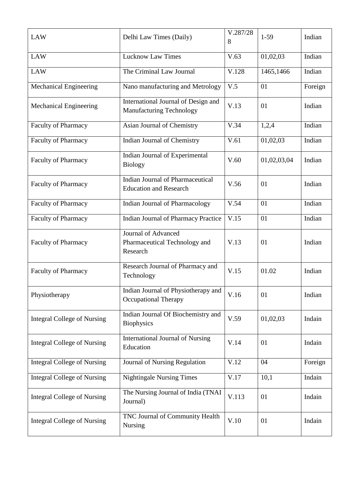| <b>LAW</b>                         | Delhi Law Times (Daily)                                                  | V.287/28<br>8 | $1-59$      | Indian  |
|------------------------------------|--------------------------------------------------------------------------|---------------|-------------|---------|
| <b>LAW</b>                         | <b>Lucknow Law Times</b>                                                 | V.63          | 01,02,03    | Indian  |
| <b>LAW</b>                         | The Criminal Law Journal                                                 | V.128         | 1465,1466   | Indian  |
| Mechanical Engineering             | Nano manufacturing and Metrology                                         | V.5           | 01          | Foreign |
| <b>Mechanical Engineering</b>      | International Journal of Design and<br><b>Manufacturing Technology</b>   | V.13          | 01          | Indian  |
| <b>Faculty of Pharmacy</b>         | Asian Journal of Chemistry                                               | V.34          | 1,2,4       | Indian  |
| <b>Faculty of Pharmacy</b>         | Indian Journal of Chemistry                                              | V.61          | 01,02,03    | Indian  |
| <b>Faculty of Pharmacy</b>         | Indian Journal of Experimental<br><b>Biology</b>                         | V.60          | 01,02,03,04 | Indian  |
| <b>Faculty of Pharmacy</b>         | <b>Indian Journal of Pharmaceutical</b><br><b>Education and Research</b> | V.56          | 01          | Indian  |
| <b>Faculty of Pharmacy</b>         | <b>Indian Journal of Pharmacology</b>                                    | V.54          | 01          | Indian  |
| Faculty of Pharmacy                | <b>Indian Journal of Pharmacy Practice</b>                               | V.15          | 01          | Indian  |
| <b>Faculty of Pharmacy</b>         | Journal of Advanced<br>Pharmaceutical Technology and<br>Research         | V.13          | 01          | Indian  |
| <b>Faculty of Pharmacy</b>         | Research Journal of Pharmacy and<br>Technology                           | V.15          | 01.02       | Indian  |
| Physiotherapy                      | Indian Journal of Physiotherapy and<br><b>Occupational Therapy</b>       | V.16          | 01          | Indian  |
| <b>Integral College of Nursing</b> | Indian Journal Of Biochemistry and<br><b>Biophysics</b>                  | V.59          | 01,02,03    | Indain  |
| <b>Integral College of Nursing</b> | <b>International Journal of Nursing</b><br>Education                     | V.14          | 01          | Indain  |
| <b>Integral College of Nursing</b> | Journal of Nursing Regulation                                            | V.12          | 04          | Foreign |
| <b>Integral College of Nursing</b> | <b>Nightingale Nursing Times</b>                                         | V.17          | 10,1        | Indain  |
| <b>Integral College of Nursing</b> | The Nursing Journal of India (TNAI<br>Journal)                           | V.113         | 01          | Indain  |
| <b>Integral College of Nursing</b> | TNC Journal of Community Health<br>Nursing                               | V.10          | 01          | Indain  |